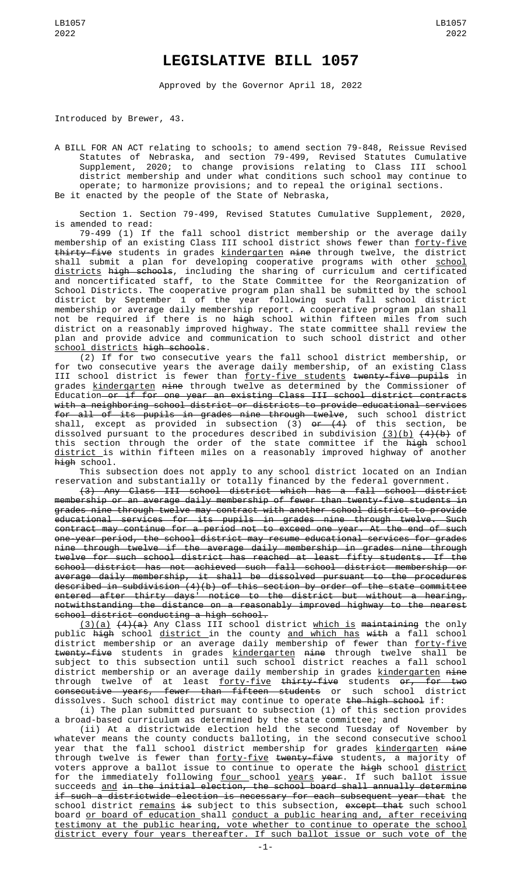## **LEGISLATIVE BILL 1057**

Approved by the Governor April 18, 2022

Introduced by Brewer, 43.

A BILL FOR AN ACT relating to schools; to amend section 79-848, Reissue Revised Statutes of Nebraska, and section 79-499, Revised Statutes Cumulative Supplement, 2020; to change provisions relating to Class III school district membership and under what conditions such school may continue to operate; to harmonize provisions; and to repeal the original sections. Be it enacted by the people of the State of Nebraska,

Section 1. Section 79-499, Revised Statutes Cumulative Supplement, 2020, is amended to read:

79-499 (1) If the fall school district membership or the average daily membership of an existing Class III school district shows fewer than <u>forty-five</u> <del>thirty-five</del> students in grades <u>kindergarten</u> <del>nine</del> through twelve, the district shall submit a plan for developing cooperative programs with other <u>school</u> <u>districts</u> <del>high schools</del>, including the sharing of curriculum and certificated and noncertificated staff, to the State Committee for the Reorganization of School Districts. The cooperative program plan shall be submitted by the school district by September 1 of the year following such fall school district membership or average daily membership report. A cooperative program plan shall not be required if there is no <del>high</del> school within fifteen miles from such district on a reasonably improved highway. The state committee shall review the plan and provide advice and communication to such school district and other school districts high schools.

(2) If for two consecutive years the fall school district membership, or for two consecutive years the average daily membership, of an existing Class III school district is fewer than <u>forty-five students</u> <del>twenty-five pupils</del> in grades <u>kindergarten</u> <del>nine</del> through twelve as determined by the Commissioner of Education or if for one year an existing Class III school district contracts with a neighboring school district or districts to provide educational services for all of its pupils in grades nine through twelve, such school district shall, except as provided in subsection (3) <del>or (4)</del> of this section, be dissolved pursuant to the procedures described in subdivision <u>(3)(b)</u> <del>(4)(b)</del> of this section through the order of the state committee if the <del>high</del> school <u>district </u>is within fifteen miles on a reasonably improved highway of another high school.

This subsection does not apply to any school district located on an Indian reservation and substantially or totally financed by the federal government.

(3) Any Class III school district which has a fall school district membership or an average daily membership of fewer than twenty-five students in grades nine through twelve may contract with another school district to provide educational services for its pupils in grades nine through twelve. Such contract may continue for a period not to exceed one year. At the end of such one-year period, the school district may resume educational services for grades nine through twelve if the average daily membership in grades nine through twelve for such school district has reached at least fifty students. If the school district has not achieved such fall school district membership or average daily membership, it shall be dissolved pursuant to the procedures described in subdivision (4)(b) of this section by order of the state committee entered after thirty days' notice to the district but without a hearing, notwithstanding the distance on a reasonably improved highway to the nearest school district conducting a high school.

<u>(3)(a)</u> <del>(4)(a)</del> Any Class III school district <u>which is</u> <del>maintaining</del> the only public <del>high</del> school <u>district </u>in the county <u>and which has</u> <del>with</del> a fall school district membership or an average daily membership of fewer than <u>forty-five</u> <del>twenty-five</del> students in grades <u>kindergarten</u> <del>nine</del> through twelve shall be subject to this subsection until such school district reaches a fall school district membership or an average daily membership in grades kindergarten nine through twelve of at least <u>forty-five</u> <del>thirty-five</del> students <del>or, for two</del> consecutive years, fewer than fifteen students or such school district dissolves. Such school district may continue to operate the high school if:

(i) The plan submitted pursuant to subsection (1) of this section provides a broad-based curriculum as determined by the state committee; and

(ii) At a districtwide election held the second Tuesday of November by whatever means the county conducts balloting, in the second consecutive school year that the fall school district membership for grades <u>kindergarten</u> <del>nine</del> through twelve is fewer than <u>forty-five</u> <del>twenty-five</del> students, a majority of voters approve a ballot issue to continue to operate the <del>high</del> school <u>district</u> for the immediately following <u>four school years</u> year. If such ballot issue succeeds and in the initial election, the school board shall annually determine if such a districtwide election is necessary for each subsequent year that the school district <u>remains</u> <del>is</del> subject to this subsection, e<del>xcept that</del> such school board or board of education shall conduct a public hearing and, after receiving testimony at the public hearing, vote whether to continue to operate the school district every four years thereafter. If such ballot issue or such vote of the